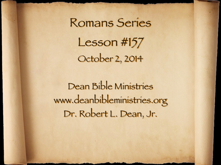Romans Series Lesson #157 October 2, 2014

Dean Bible Ministries [www.deanbibleministries.org](http://www.deanbible.org) Dr. Robert L. Dean, Jr.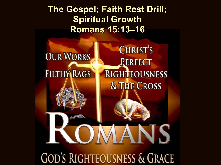# **The Gospel; Faith Rest Drill; Spiritual Growth Romans 15:13–16**

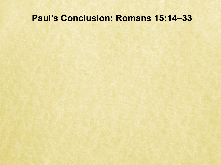## **Paul's Conclusion: Romans 15:14–33**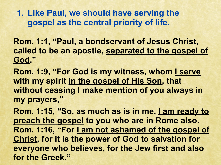**1. Like Paul, we should have serving the gospel as the central priority of life.**

**Rom. 1:1, "Paul, a bondservant of Jesus Christ, called to be an apostle, separated to the gospel of God."** 

**Rom. 1:9, "For God is my witness, whom I serve with my spirit in the gospel of His Son, that without ceasing I make mention of you always in my prayers,"** 

Rom. 1:15, "So, as much as is in me, <u>I am ready to</u> **preach the gospel to you who are in Rome also.**  Rom. 1:16, "For I am not ashamed of the gospel of **Christ, for it is the power of God to salvation for everyone who believes, for the Jew first and also for the Greek."**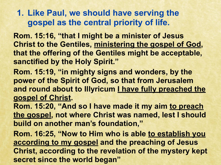**1. Like Paul, we should have serving the gospel as the central priority of life.**

**Rom. 15:16, "that I might be a minister of Jesus Christ to the Gentiles, ministering the gospel of God, that the offering of the Gentiles might be acceptable, sanctified by the Holy Spirit."** 

**Rom. 15:19, "in mighty signs and wonders, by the power of the Spirit of God, so that from Jerusalem and round about to Illyricum I have fully preached the gospel of Christ.** 

**Rom. 15:20, "And so I have made it my aim to preach the gospel, not where Christ was named, lest I should build on another man's foundation,"** 

**Rom. 16:25, "Now to Him who is able to establish you according to my gospel and the preaching of Jesus Christ, according to the revelation of the mystery kept secret since the world began"**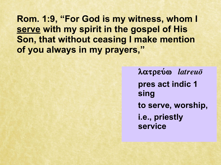**Rom. 1:9, "For God is my witness, whom I serve with my spirit in the gospel of His Son, that without ceasing I make mention of you always in my prayers,"**

> *λ***ατρεύω** *latreuō* **pres act indic 1 sing to serve, worship, i.e., priestly service**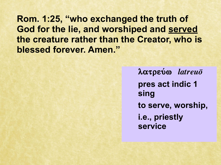Rom. 1:25, "who exchanged the truth of God for the lie, and worshiped and served the creature rather than the Creator, who is blessed forever. Amen."

> $\lambda \alpha \tau \rho \varepsilon \omega \omega$  *latreuo* pres act indic 1 sing to serve, worship, i.e., priestly **service**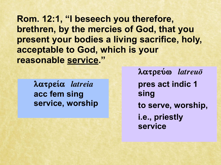Rom. 12:1, "I beseech you therefore, brethren, by the mercies of God, that you present your bodies a living sacrifice, holy, acceptable to God, which is your reasonable service."

λατρεία latreia acc fem sing service, worship  $\lambda \alpha \tau \rho \varepsilon \acute{\omega} \omega$  *latreuo* pres act indic 1 sing to serve, worship, i.e., priestly **service**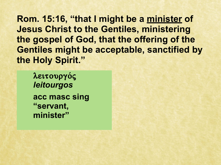**Rom. 15:16, "that I might be a minister of Jesus Christ to the Gentiles, ministering the gospel of God, that the offering of the Gentiles might be acceptable, sanctified by the Holy Spirit."**

 $\lambda$ ειτουργός *leitourgos* **acc masc sing "servant, minister"**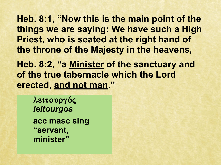**Heb. 8:1, "Now this is the main point of the things we are saying: We have such a High Priest, who is seated at the right hand of the throne of the Majesty in the heavens,** 

**Heb. 8:2, "a Minister of the sanctuary and of the true tabernacle which the Lord erected, and not man. "**

 $\lambda$ ειτουργός *leitourgos* **acc masc sing "servant, minister"**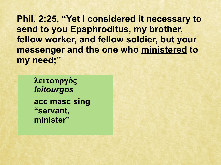**Phil. 2:25, "Yet I considered it necessary to send to you Epaphroditus, my brother, fellow worker, and fellow soldier, but your messenger and the one who ministered to my need;"**

 $\lambda$ ειτουργός *leitourgos* **acc masc sing "servant, minister"**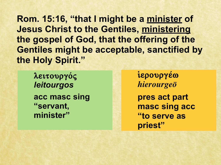Rom. 15:16, "that I might be a minister of **Jesus Christ to the Gentiles, ministering** the gospel of God, that the offering of the **Gentiles might be acceptable, sanctified by** the Holy Spirit."

λειτουργός leitourgos acc masc sing "servant, minister"

ίερουργέω hierourgeō pres act part masc sing acc "to serve as priest"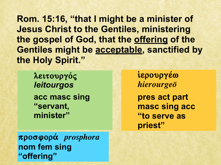Rom. 15:16, "that I might be a minister of **Jesus Christ to the Gentiles, ministering** the gospel of God, that the offering of the Gentiles might be acceptable, sanctified by the Holy Spirit."

λειτουργός leitourgos acc masc sing "servant, minister"

ίερουργέω hierourgeō pres act part masc sing acc "to serve as priest"

προσφορά prosphora nom fem sing "offering"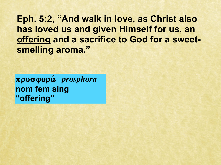**Eph. 5:2, "And walk in love, as Christ also has loved us and given Himself for us, an offering and a sacrifice to God for a sweetsmelling aroma."**

**prosfora¿** *prosphora* **nom fem sing "offering"**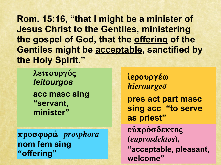**Rom. 15:16, "that I might be a minister of Jesus Christ to the Gentiles, ministering the gospel of God, that the offering of the Gentiles might be acceptable, sanctified by the Holy Spirit."**

 $\lambda$ ειτουργός *leitourgos* **acc masc sing "servant, minister"** 

**prosfora¿** *prosphora* **nom fem sing "offering"**

<u>ἱερουργέω</u> *hierourgeo* **pres act part masc sing acc "to serve as priest"** εύπρόσδεκτος **(***euprosdektos***), "acceptable, pleasant, welcome"**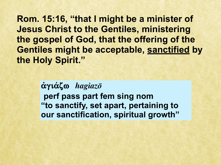Rom. 15:16, "that I might be a minister of **Jesus Christ to the Gentiles, ministering** the gospel of God, that the offering of the **Gentiles might be acceptable, sanctified by** the Holy Spirit."

> $\alpha$ γιάζω hagiaz $\bar{o}$ perf pass part fem sing nom "to sanctify, set apart, pertaining to our sanctification, spiritual growth"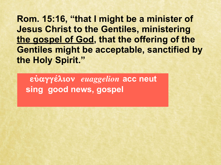**Rom. 15:16, "that I might be a minister of Jesus Christ to the Gentiles, ministering the gospel of God, that the offering of the Gentiles might be acceptable, sanctified by the Holy Spirit."**

**eujagge÷lion** *euaggelion* **acc neut sing good news, gospel**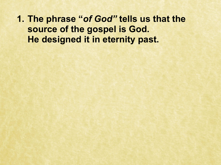**1. The phrase "***of God"* **tells us that the source of the gospel is God. He designed it in eternity past.**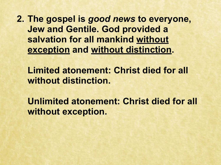**2. The gospel is** *good news* **to everyone, Jew and Gentile. God provided a salvation for all mankind without exception and without distinction.** 

**Limited atonement: Christ died for all without distinction.**

**Unlimited atonement: Christ died for all without exception.**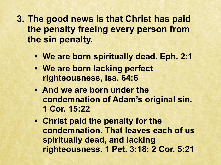- **3. The good news is that Christ has paid the penalty freeing every person from the sin penalty.**
	- **We are born spiritually dead. Eph. 2:1**
	- **We are born lacking perfect righteousness, Isa. 64:6**
	- **And we are born under the condemnation of Adam's original sin. 1 Cor. 15:22**
	- **Christ paid the penalty for the condemnation. That leaves each of us spiritually dead, and lacking righteousness. 1 Pet. 3:18; 2 Cor. 5:21**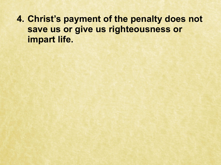**4. Christ's payment of the penalty does not save us or give us righteousness or impart life.**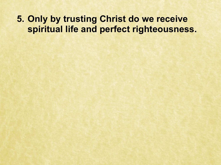# **5. Only by trusting Christ do we receive spiritual life and perfect righteousness.**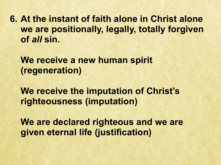**6. At the instant of faith alone in Christ alone we are positionally, legally, totally forgiven of** *all* **sin.** 

We receive a new human spirit **(regeneration)**

**We receive the imputation of Christ's righteousness (imputation)**

**We are declared righteous and we are given eternal life (justification)**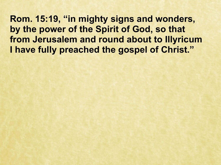**Rom. 15:19, "in mighty signs and wonders, by the power of the Spirit of God, so that from Jerusalem and round about to Illyricum I have fully preached the gospel of Christ."**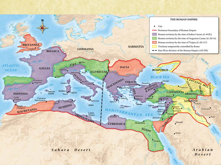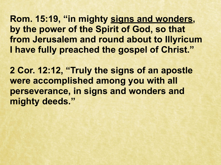**Rom. 15:19, "in mighty signs and wonders, by the power of the Spirit of God, so that from Jerusalem and round about to Illyricum I have fully preached the gospel of Christ."**

**2 Cor. 12:12, "Truly the signs of an apostle were accomplished among you with all perseverance, in signs and wonders and mighty deeds."**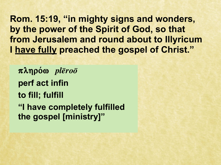**Rom. 15:19, "in mighty signs and wonders, by the power of the Spirit of God, so that from Jerusalem and round about to Illyricum I have fully preached the gospel of Christ."**

 $\pi \lambda$ ηρόω *plēroō* **perf act infin to fill; fulfill "I have completely fulfilled the gospel [ministry]"**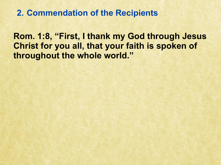**Rom. 1:8, "First, I thank my God through Jesus Christ for you all, that your faith is spoken of throughout the whole world."**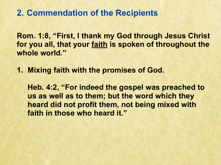**Rom. 1:8, "First, I thank my God through Jesus Christ for you all, that your faith is spoken of throughout the whole world."**

**1. Mixing faith with the promises of God.**

**Heb. 4:2, "For indeed the gospel was preached to us as well as to them; but the word which they heard did not profit them, not being mixed with faith in those who heard it."**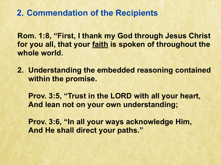**Rom. 1:8, "First, I thank my God through Jesus Christ for you all, that your faith is spoken of throughout the whole world.** 

**2. Understanding the embedded reasoning contained within the promise.**

**Prov. 3:5, "Trust in the LORD with all your heart, And lean not on your own understanding;**

**Prov. 3:6, "In all your ways acknowledge Him, And He shall direct your paths."**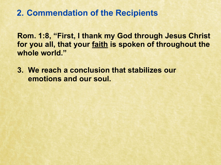**Rom. 1:8, "First, I thank my God through Jesus Christ for you all, that your faith is spoken of throughout the whole world."**

**3. We reach a conclusion that stabilizes our emotions and our soul.**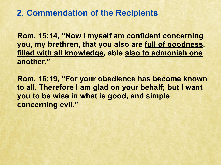**Rom. 15:14, "Now I myself am confident concerning you, my brethren, that you also are full of goodness, filled with all knowledge, able also to admonish one another."**

**Rom. 16:19, "For your obedience has become known to all. Therefore I am glad on your behalf; but I want you to be wise in what is good, and simple concerning evil."**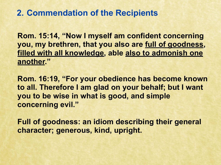**Rom. 15:14, "Now I myself am confident concerning you, my brethren, that you also are full of goodness, filled with all knowledge, able also to admonish one another."**

**Rom. 16:19, "For your obedience has become known to all. Therefore I am glad on your behalf; but I want you to be wise in what is good, and simple concerning evil."**

**Full of goodness: an idiom describing their general character; generous, kind, upright.**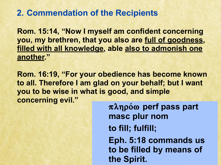**Rom. 15:14, "Now I myself am confident concerning you, my brethren, that you also are full of goodness, filled with all knowledge, able also to admonish one another."** 

**Rom. 16:19, "For your obedience has become known to all. Therefore I am glad on your behalf; but I want you to be wise in what is good, and simple concerning evil."**

**plhro/w perf pass part masc plur nom to fill; fulfill; Eph. 5:18 commands us to be filled by means of the Spirit.**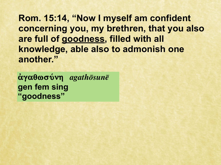Rom. 15:14, "Now I myself am confident concerning you, my brethren, that you also are full of goodness, filled with all knowledge, able also to admonish one another."

 $\dot{\alpha} \gamma \alpha \theta \omega \sigma \acute{\nu} \nu \eta$  agathosune gen fem sing "goodness"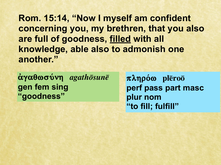Rom. 15:14, "Now I myself am confident concerning you, my brethren, that you also are full of goodness, filled with all knowledge, able also to admonish one another."

αγαθωσύνη agathōsunē gen fem sing "goodness"

 $\pi \lambda \eta \rho \acute{o} \omega$  plēroō perf pass part masc plur nom "to fill; fulfill"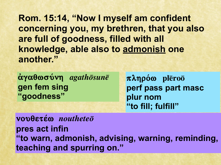Rom. 15:14, "Now I myself am confident concerning you, my brethren, that you also are full of goodness, filled with all knowledge, able also to admonish one another."

 $\alpha$ γαθωσύνη *agathōsunē* gen fem sing "goodness"

 $\pi \lambda \eta \rho \acute{o} \omega$  pleroo perf pass part masc plur nom "to fill; fulfill"

vouθετέω noutheteō pres act infin "to warn, admonish, advising, warning, reminding, teaching and spurring on."